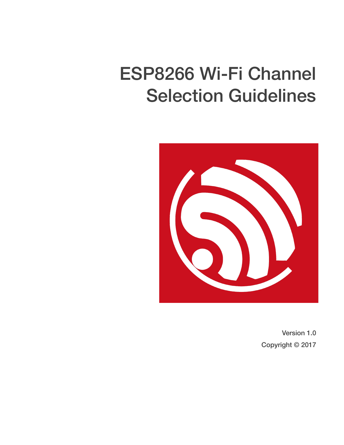## ESP8266 Wi-Fi Channel Selection Guidelines



Version 1.0 Copyright © 2017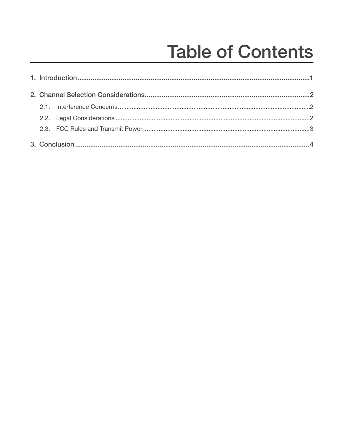## **Table of Contents**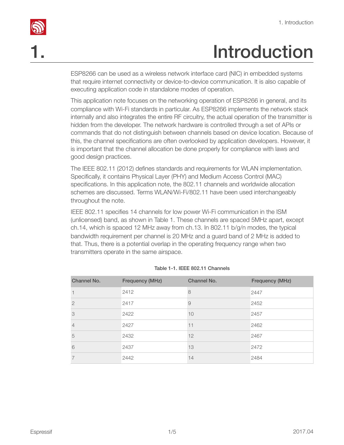## <span id="page-2-0"></span>**Introduction**

ESP8266 can be used as a wireless network interface card (NIC) in embedded systems that require internet connectivity or device-to-device communication. It is also capable of executing application code in standalone modes of operation.

This application note focuses on the networking operation of ESP8266 in general, and its compliance with Wi-Fi standards in particular. As ESP8266 implements the network stack internally and also integrates the entire RF circuitry, the actual operation of the transmitter is hidden from the developer. The network hardware is controlled through a set of APIs or commands that do not distinguish between channels based on device location. Because of this, the channel specifications are often overlooked by application developers. However, it is important that the channel allocation be done properly for compliance with laws and good design practices.

The IEEE 802.11 (2012) defines standards and requirements for WLAN implementation. Specifically, it contains Physical Layer (PHY) and Medium Access Control (MAC) specifications. In this application note, the 802.11 channels and worldwide allocation schemes are discussed. Terms WLAN/Wi-Fi/802.11 have been used interchangeably throughout the note.

IEEE 802.11 specifies 14 channels for low power Wi-Fi communication in the ISM (unlicensed) band, as shown in Table 1. These channels are spaced 5MHz apart, except ch.14, which is spaced 12 MHz away from ch.13. In 802.11 b/g/n modes, the typical bandwidth requirement per channel is 20 MHz and a guard band of 2 MHz is added to that. Thus, there is a potential overlap in the operating frequency range when two transmitters operate in the same airspace.

| Channel No.   | Frequency (MHz) | Channel No. | Frequency (MHz) |
|---------------|-----------------|-------------|-----------------|
|               | 2412            | 8           | 2447            |
| $\mathcal{P}$ | 2417            | 9           | 2452            |
| 3             | 2422            | 10          | 2457            |
| 4             | 2427            | 11          | 2462            |
| 5             | 2432            | 12          | 2467            |
| 6             | 2437            | 13          | 2472            |
|               | 2442            | 14          | 2484            |

#### Table 1-1. IEEE 802.11 Channels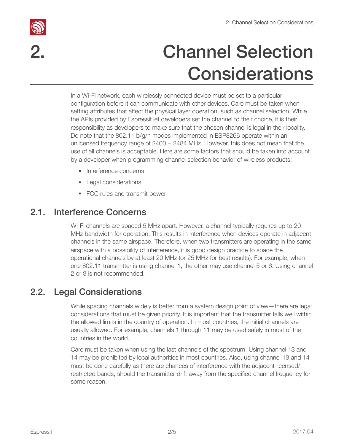

## 2. Channel Selection **Considerations**

<span id="page-3-0"></span>In a Wi-Fi network, each wirelessly connected device must be set to a particular configuration before it can communicate with other devices. Care must be taken when setting attributes that affect the physical layer operation, such as channel selection. While the APIs provided by Espressif let developers set the channel to their choice, it is their responsibility as developers to make sure that the chosen channel is legal in their locality. Do note that the 802.11 b/g/n modes implemented in ESP8266 operate within an unlicensed frequency range of  $2400 \sim 2484$  MHz. However, this does not mean that the use of all channels is acceptable. Here are some factors that should be taken into account by a developer when programming channel selection behavior of wireless products:

- Interference concerns
- Legal considerations
- FCC rules and transmit power

### 2.1. Interference Concerns

<span id="page-3-1"></span>Wi-Fi channels are spaced 5 MHz apart. However, a channel typically requires up to 20 MHz bandwidth for operation. This results in interference when devices operate in adjacent channels in the same airspace. Therefore, when two transmitters are operating in the same airspace with a possibility of interference, it is good design practice to space the operational channels by at least 20 MHz (or 25 MHz for best results). For example, when one 802.11 transmitter is using channel 1, the other may use channel 5 or 6. Using channel 2 or 3 is not recommended.

#### 2.2. Legal Considerations

<span id="page-3-2"></span>While spacing channels widely is better from a system design point of view—there are legal considerations that must be given priority. It is important that the transmitter falls well within the allowed limits in the country of operation. In most countries, the initial channels are usually allowed. For example, channels 1 through 11 may be used safely in most of the countries in the world.

Care must be taken when using the last channels of the spectrum. Using channel 13 and 14 may be prohibited by local authorities in most countries. Also, using channel 13 and 14 must be done carefully as there are chances of interference with the adjacent licensed/ restricted bands, should the transmitter drift away from the specified channel frequency for some reason.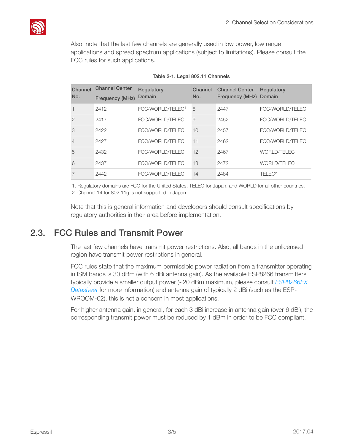

Also, note that the last few channels are generally used in low power, low range applications and spread spectrum applications (subject to limitations). Please consult the FCC rules for such applications.

| Channel<br>No. | <b>Channel Center</b><br>Frequency (MHz) | Regulatory<br>Domain         | Channel<br>No. | <b>Channel Center</b><br>Frequency (MHz) | Regulatory<br>Domain |
|----------------|------------------------------------------|------------------------------|----------------|------------------------------------------|----------------------|
|                | 2412                                     | FCC/WORLD/TELEC <sup>1</sup> | 8              | 2447                                     | FCC/WORLD/TELEC      |
| $\mathcal{P}$  | 2417                                     | FCC/WORLD/TELEC              | 9              | 2452                                     | FCC/WORLD/TELEC      |
| 3              | 2422                                     | FCC/WORLD/TELEC              | 10             | 2457                                     | FCC/WORLD/TELEC      |
| $\overline{4}$ | 2427                                     | FCC/WORLD/TELEC              | 11             | 2462                                     | FCC/WORLD/TELEC      |
| 5              | 2432                                     | FCC/WORLD/TELEC              | 12             | 2467                                     | <b>WORLD/TELEC</b>   |
| 6              | 2437                                     | FCC/WORLD/TELEC              | 13             | 2472                                     | <b>WORLD/TELEC</b>   |
|                | 2442                                     | FCC/WORLD/TELEC              | 14             | 2484                                     | TFI FC <sup>2</sup>  |

1. Regulatory domains are FCC for the United States, TELEC for Japan, and WORLD for all other countries. 2. Channel 14 for 802.11g is not supported in Japan.

Note that this is general information and developers should consult specifications by regulatory authorities in their area before implementation.

#### 2.3. FCC Rules and Transmit Power

<span id="page-4-0"></span>The last few channels have transmit power restrictions. Also, all bands in the unlicensed region have transmit power restrictions in general.

FCC rules state that the maximum permissible power radiation from a transmitter operating in ISM bands is 30 dBm (with 6 dBi antenna gain). As the available ESP8266 transmitters typically provide a smaller output power (~20 dBm maximum, please consult *[ESP8266EX](http://espressif.com/sites/default/files/documentation/0a-esp8266ex_datasheet_en.pdf)  [Datasheet](http://espressif.com/sites/default/files/documentation/0a-esp8266ex_datasheet_en.pdf)* for more information) and antenna gain of typically 2 dBi (such as the ESP-WROOM-02), this is not a concern in most applications.

For higher antenna gain, in general, for each 3 dBi increase in antenna gain (over 6 dBi), the corresponding transmit power must be reduced by 1 dBm in order to be FCC compliant.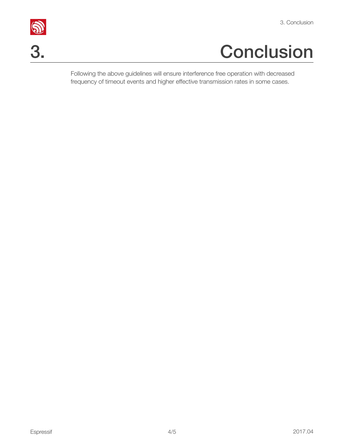# <u>ु</u><br>3. Conclusion<br>3. Conclusion

<span id="page-5-0"></span>Following the above guidelines will ensure interference free operation with decreased frequency of timeout events and higher effective transmission rates in some cases.